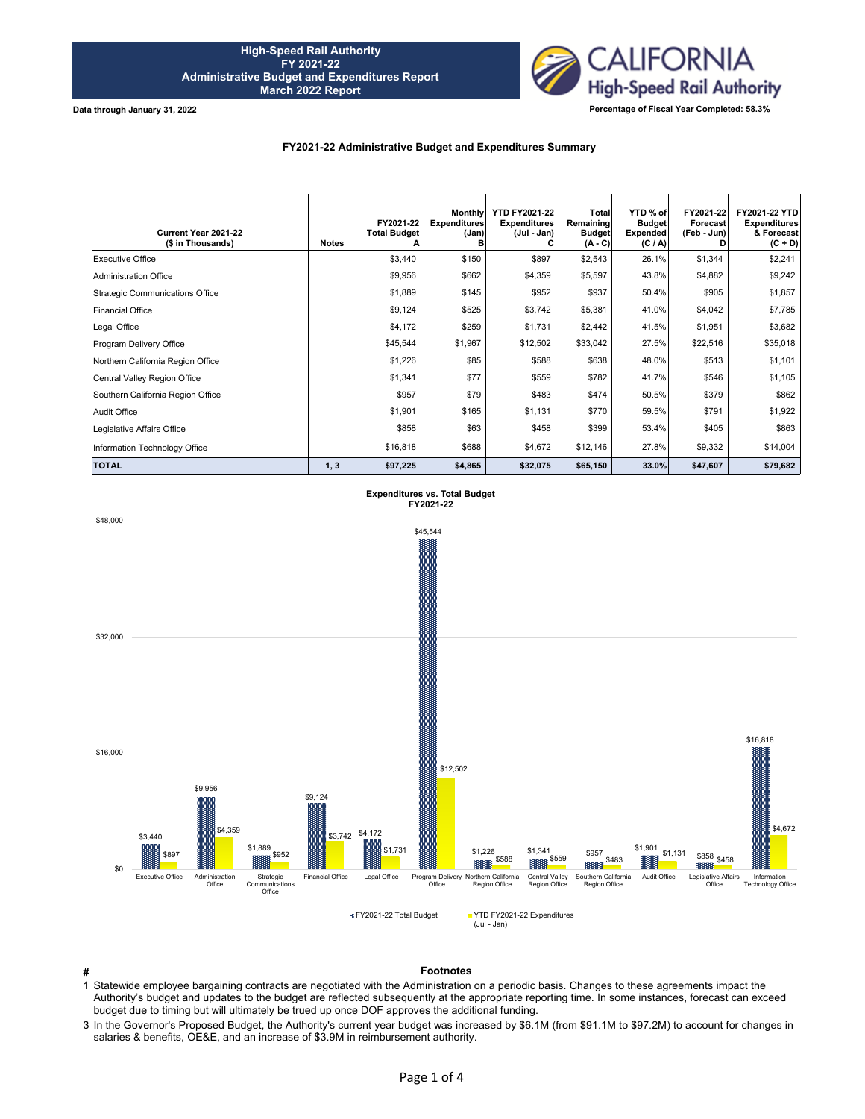

**Data through January 31, 2022**

## **FY2021-22 Administrative Budget and Expenditures Summary**

| Current Year 2021-22<br>(\$ in Thousands) | <b>Notes</b> | FY2021-22<br><b>Total Budget</b> | <b>Monthly</b><br><b>Expenditures</b><br>(Jan)<br>в | <b>YTD FY2021-22</b><br><b>Expenditures</b><br>(Jul - Jan) | Total<br>Remaining<br><b>Budget</b><br>$(A - C)$ | YTD % of<br><b>Budget</b><br><b>Expended</b><br>(C / A) | FY2021-22<br>Forecast<br>(Feb - Jun) | FY2021-22 YTD<br><b>Expenditures</b><br>& Forecast<br>$(C + D)$ |
|-------------------------------------------|--------------|----------------------------------|-----------------------------------------------------|------------------------------------------------------------|--------------------------------------------------|---------------------------------------------------------|--------------------------------------|-----------------------------------------------------------------|
| <b>Executive Office</b>                   |              | \$3,440                          | \$150                                               | \$897                                                      | \$2,543                                          | 26.1%                                                   | \$1,344                              | \$2,241                                                         |
| <b>Administration Office</b>              |              | \$9,956                          | \$662                                               | \$4,359                                                    | \$5,597                                          | 43.8%                                                   | \$4,882                              | \$9,242                                                         |
| <b>Strategic Communications Office</b>    |              | \$1,889                          | \$145                                               | \$952                                                      | \$937                                            | 50.4%                                                   | \$905                                | \$1,857                                                         |
| <b>Financial Office</b>                   |              | \$9,124                          | \$525                                               | \$3,742                                                    | \$5,381                                          | 41.0%                                                   | \$4,042                              | \$7,785                                                         |
| Legal Office                              |              | \$4,172                          | \$259                                               | \$1,731                                                    | \$2,442                                          | 41.5%                                                   | \$1,951                              | \$3,682                                                         |
| Program Delivery Office                   |              | \$45,544                         | \$1,967                                             | \$12,502                                                   | \$33,042                                         | 27.5%                                                   | \$22,516                             | \$35,018                                                        |
| Northern California Region Office         |              | \$1,226                          | \$85                                                | \$588                                                      | \$638                                            | 48.0%                                                   | \$513                                | \$1,101                                                         |
| Central Valley Region Office              |              | \$1,341                          | \$77                                                | \$559                                                      | \$782                                            | 41.7%                                                   | \$546                                | \$1,105                                                         |
| Southern California Region Office         |              | \$957                            | \$79                                                | \$483                                                      | \$474                                            | 50.5%                                                   | \$379                                | \$862                                                           |
| Audit Office                              |              | \$1,901                          | \$165                                               | \$1,131                                                    | \$770                                            | 59.5%                                                   | \$791                                | \$1,922                                                         |
| Legislative Affairs Office                |              | \$858                            | \$63                                                | \$458                                                      | \$399                                            | 53.4%                                                   | \$405                                | \$863                                                           |
| Information Technology Office             |              | \$16,818                         | \$688                                               | \$4,672                                                    | \$12,146                                         | 27.8%                                                   | \$9,332                              | \$14,004                                                        |
| <b>TOTAL</b>                              | 1, 3         | \$97,225                         | \$4,865                                             | \$32,075                                                   | \$65,150                                         | 33.0%                                                   | \$47,607                             | \$79,682                                                        |



**# Footnotes**

1 Statewide employee bargaining contracts are negotiated with the Administration on a periodic basis. Changes to these agreements impact the Authority's budget and updates to the budget are reflected subsequently at the appropriate reporting time. In some instances, forecast can exceed budget due to timing but will ultimately be trued up once DOF approves the additional funding.

3 In the Governor's Proposed Budget, the Authority's current year budget was increased by \$6.1M (from \$91.1M to \$97.2M) to account for changes in salaries & benefits, OE&E, and an increase of \$3.9M in reimbursement authority.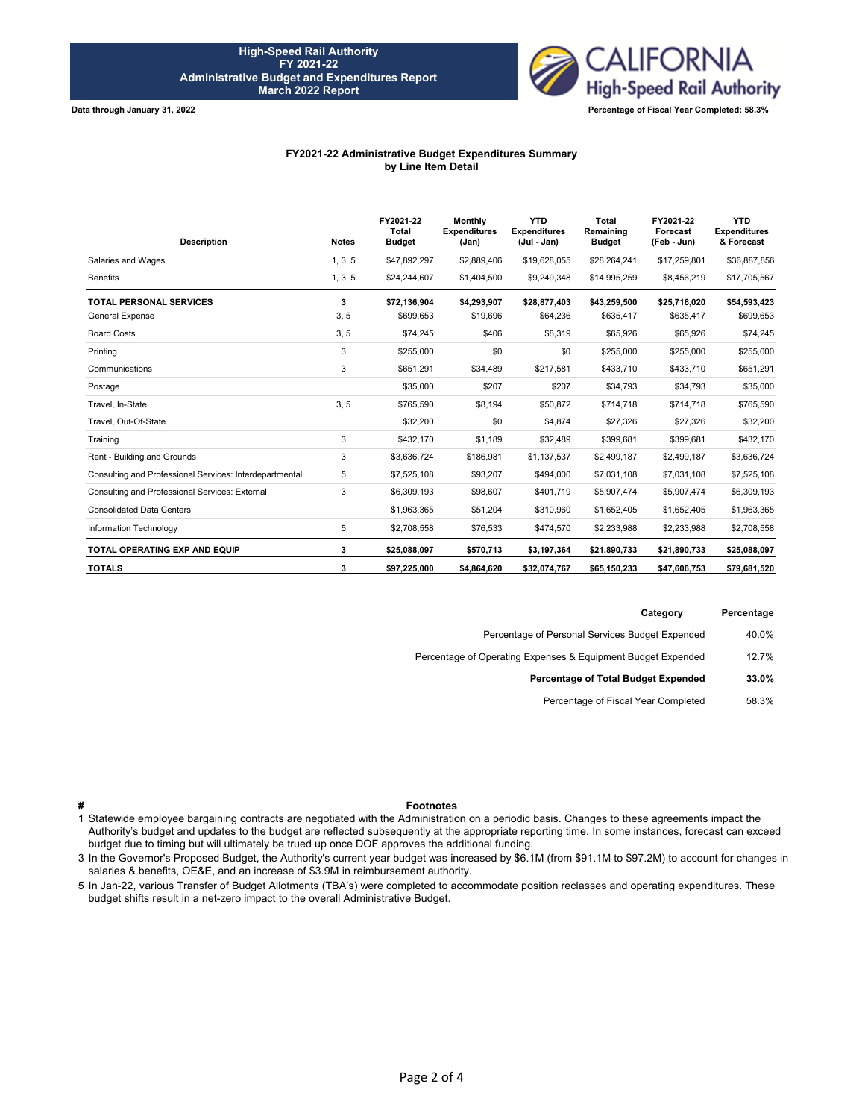

**Data through January 31, 2022**

## **FY2021-22 Administrative Budget Expenditures Summary by Line Item Detail**

| <b>Description</b>                                      | <b>Notes</b> | FY2021-22<br>Total<br><b>Budget</b> | <b>Monthly</b><br><b>Expenditures</b><br>(Jan) | <b>YTD</b><br><b>Expenditures</b><br>(Jul - Jan) | <b>Total</b><br>Remaining<br><b>Budget</b> | FY2021-22<br>Forecast<br>(Feb - Jun) | <b>YTD</b><br><b>Expenditures</b><br>& Forecast |
|---------------------------------------------------------|--------------|-------------------------------------|------------------------------------------------|--------------------------------------------------|--------------------------------------------|--------------------------------------|-------------------------------------------------|
| Salaries and Wages                                      | 1, 3, 5      | \$47,892,297                        | \$2,889,406                                    | \$19,628,055                                     | \$28,264,241                               | \$17,259,801                         | \$36,887,856                                    |
| <b>Benefits</b>                                         | 1, 3, 5      | \$24,244,607                        | \$1,404,500                                    | \$9,249,348                                      | \$14,995,259                               | \$8,456,219                          | \$17,705,567                                    |
| <b>TOTAL PERSONAL SERVICES</b>                          | 3            | \$72,136,904                        | \$4,293,907                                    | \$28,877,403                                     | \$43,259,500                               | \$25,716,020                         | \$54,593,423                                    |
| <b>General Expense</b>                                  | 3, 5         | \$699,653                           | \$19,696                                       | \$64,236                                         | \$635,417                                  | \$635,417                            | \$699,653                                       |
| <b>Board Costs</b>                                      | 3, 5         | \$74,245                            | \$406                                          | \$8,319                                          | \$65,926                                   | \$65,926                             | \$74,245                                        |
| Printing                                                | 3            | \$255,000                           | \$0                                            | \$0                                              | \$255,000                                  | \$255,000                            | \$255,000                                       |
| Communications                                          | 3            | \$651,291                           | \$34,489                                       | \$217,581                                        | \$433,710                                  | \$433,710                            | \$651,291                                       |
| Postage                                                 |              | \$35,000                            | \$207                                          | \$207                                            | \$34,793                                   | \$34,793                             | \$35,000                                        |
| Travel, In-State                                        | 3, 5         | \$765,590                           | \$8,194                                        | \$50,872                                         | \$714,718                                  | \$714,718                            | \$765,590                                       |
| Travel, Out-Of-State                                    |              | \$32,200                            | \$0                                            | \$4,874                                          | \$27,326                                   | \$27,326                             | \$32,200                                        |
| Training                                                | 3            | \$432,170                           | \$1,189                                        | \$32,489                                         | \$399,681                                  | \$399,681                            | \$432,170                                       |
| Rent - Building and Grounds                             | 3            | \$3,636,724                         | \$186,981                                      | \$1,137,537                                      | \$2,499,187                                | \$2,499,187                          | \$3,636,724                                     |
| Consulting and Professional Services: Interdepartmental | 5            | \$7,525,108                         | \$93,207                                       | \$494,000                                        | \$7,031,108                                | \$7,031,108                          | \$7,525,108                                     |
| Consulting and Professional Services: External          | 3            | \$6,309,193                         | \$98,607                                       | \$401,719                                        | \$5,907,474                                | \$5,907,474                          | \$6,309,193                                     |
| <b>Consolidated Data Centers</b>                        |              | \$1,963,365                         | \$51,204                                       | \$310,960                                        | \$1,652,405                                | \$1,652,405                          | \$1,963,365                                     |
| Information Technology                                  | 5            | \$2,708,558                         | \$76,533                                       | \$474,570                                        | \$2,233,988                                | \$2,233,988                          | \$2,708,558                                     |
| TOTAL OPERATING EXP AND EQUIP                           | 3            | \$25,088,097                        | \$570,713                                      | \$3,197,364                                      | \$21,890,733                               | \$21,890,733                         | \$25,088,097                                    |
| <b>TOTALS</b>                                           | 3            | \$97,225,000                        | \$4,864,620                                    | \$32,074,767                                     | \$65,150,233                               | \$47,606,753                         | \$79,681,520                                    |

| Percentage | Category                                                     |
|------------|--------------------------------------------------------------|
| 40.0%      | Percentage of Personal Services Budget Expended              |
| 12.7%      | Percentage of Operating Expenses & Equipment Budget Expended |
| 33.0%      | Percentage of Total Budget Expended                          |
| 58.3%      | Percentage of Fiscal Year Completed                          |
|            |                                                              |

## **# Footnotes**

1 Statewide employee bargaining contracts are negotiated with the Administration on a periodic basis. Changes to these agreements impact the Authority's budget and updates to the budget are reflected subsequently at the appropriate reporting time. In some instances, forecast can exceed budget due to timing but will ultimately be trued up once DOF approves the additional funding.

3 In the Governor's Proposed Budget, the Authority's current year budget was increased by \$6.1M (from \$91.1M to \$97.2M) to account for changes in salaries & benefits, OE&E, and an increase of \$3.9M in reimbursement authority.

5 In Jan-22, various Transfer of Budget Allotments (TBA's) were completed to accommodate position reclasses and operating expenditures. These budget shifts result in a net-zero impact to the overall Administrative Budget.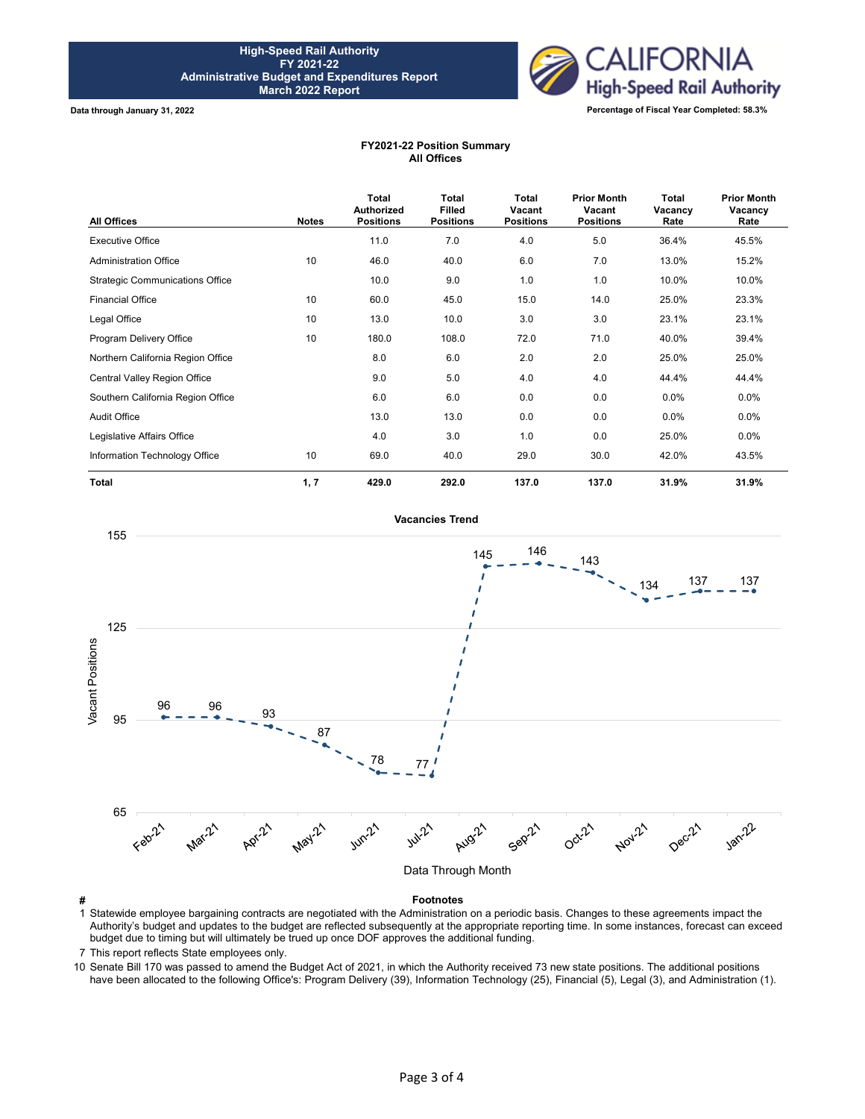

**Data through January 31, 2022**

## **FY2021-22 Position Summary All Offices**

| All Offices                            | <b>Notes</b> | Total<br><b>Authorized</b><br><b>Positions</b> | <b>Total</b><br><b>Filled</b><br><b>Positions</b> | <b>Total</b><br>Vacant<br><b>Positions</b> | <b>Prior Month</b><br>Vacant<br><b>Positions</b> | Total<br>Vacancy<br>Rate | <b>Prior Month</b><br>Vacancy<br>Rate |
|----------------------------------------|--------------|------------------------------------------------|---------------------------------------------------|--------------------------------------------|--------------------------------------------------|--------------------------|---------------------------------------|
| <b>Executive Office</b>                |              | 11.0                                           | 7.0                                               | 4.0                                        | 5.0                                              | 36.4%                    | 45.5%                                 |
| <b>Administration Office</b>           | 10           | 46.0                                           | 40.0                                              | 6.0                                        | 7.0                                              | 13.0%                    | 15.2%                                 |
| <b>Strategic Communications Office</b> |              | 10.0                                           | 9.0                                               | 1.0                                        | 1.0                                              | 10.0%                    | 10.0%                                 |
| <b>Financial Office</b>                | 10           | 60.0                                           | 45.0                                              | 15.0                                       | 14.0                                             | 25.0%                    | 23.3%                                 |
| Legal Office                           | 10           | 13.0                                           | 10.0                                              | 3.0                                        | 3.0                                              | 23.1%                    | 23.1%                                 |
| Program Delivery Office                | 10           | 180.0                                          | 108.0                                             | 72.0                                       | 71.0                                             | 40.0%                    | 39.4%                                 |
| Northern California Region Office      |              | 8.0                                            | 6.0                                               | 2.0                                        | 2.0                                              | 25.0%                    | 25.0%                                 |
| Central Valley Region Office           |              | 9.0                                            | 5.0                                               | 4.0                                        | 4.0                                              | 44.4%                    | 44.4%                                 |
| Southern California Region Office      |              | 6.0                                            | 6.0                                               | 0.0                                        | 0.0                                              | $0.0\%$                  | $0.0\%$                               |
| <b>Audit Office</b>                    |              | 13.0                                           | 13.0                                              | 0.0                                        | 0.0                                              | $0.0\%$                  | $0.0\%$                               |
| Legislative Affairs Office             |              | 4.0                                            | 3.0                                               | 1.0                                        | 0.0                                              | 25.0%                    | $0.0\%$                               |
| Information Technology Office          | 10           | 69.0                                           | 40.0                                              | 29.0                                       | 30.0                                             | 42.0%                    | 43.5%                                 |
| <b>Total</b>                           | 1, 7         | 429.0                                          | 292.0                                             | 137.0                                      | 137.0                                            | 31.9%                    | 31.9%                                 |



1 Statewide employee bargaining contracts are negotiated with the Administration on a periodic basis. Changes to these agreements impact the Authority's budget and updates to the budget are reflected subsequently at the appropriate reporting time. In some instances, forecast can exceed budget due to timing but will ultimately be trued up once DOF approves the additional funding.

7 This report reflects State employees only.

10 Senate Bill 170 was passed to amend the Budget Act of 2021, in which the Authority received 73 new state positions. The additional positions have been allocated to the following Office's: Program Delivery (39), Information Technology (25), Financial (5), Legal (3), and Administration (1).